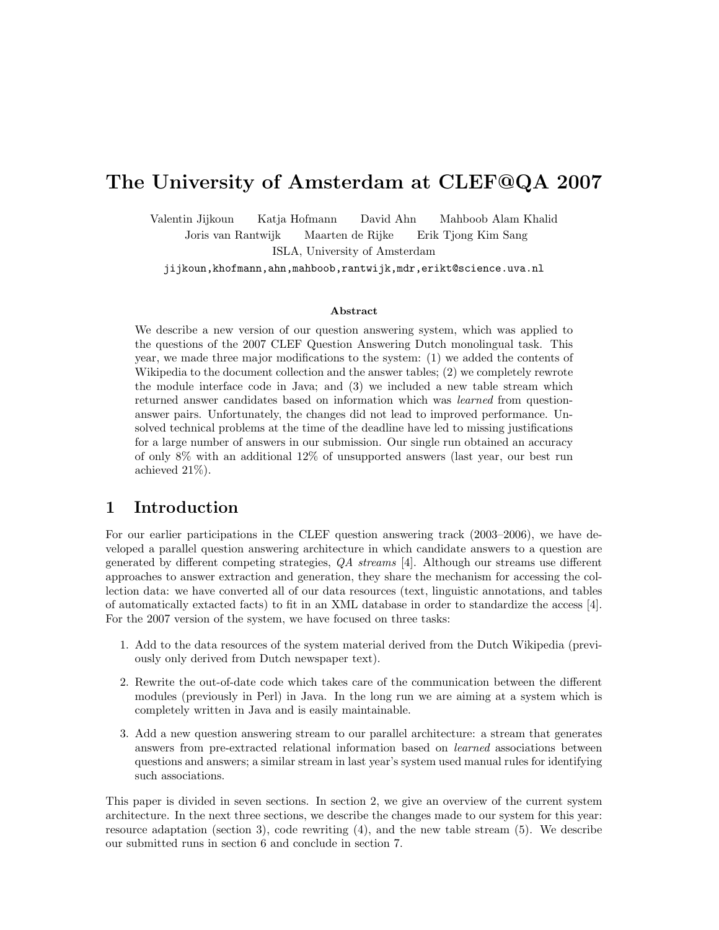# The University of Amsterdam at CLEF@QA 2007

Valentin Jijkoun Katja Hofmann David Ahn Mahboob Alam Khalid Joris van Rantwijk Maarten de Rijke Erik Tjong Kim Sang ISLA, University of Amsterdam

jijkoun,khofmann,ahn,mahboob,rantwijk,mdr,erikt@science.uva.nl

#### Abstract

We describe a new version of our question answering system, which was applied to the questions of the 2007 CLEF Question Answering Dutch monolingual task. This year, we made three major modifications to the system: (1) we added the contents of Wikipedia to the document collection and the answer tables; (2) we completely rewrote the module interface code in Java; and (3) we included a new table stream which returned answer candidates based on information which was learned from questionanswer pairs. Unfortunately, the changes did not lead to improved performance. Unsolved technical problems at the time of the deadline have led to missing justifications for a large number of answers in our submission. Our single run obtained an accuracy of only 8% with an additional 12% of unsupported answers (last year, our best run achieved 21%).

#### 1 Introduction

For our earlier participations in the CLEF question answering track (2003–2006), we have developed a parallel question answering architecture in which candidate answers to a question are generated by different competing strategies, QA streams [4]. Although our streams use different approaches to answer extraction and generation, they share the mechanism for accessing the collection data: we have converted all of our data resources (text, linguistic annotations, and tables of automatically extacted facts) to fit in an XML database in order to standardize the access [4]. For the 2007 version of the system, we have focused on three tasks:

- 1. Add to the data resources of the system material derived from the Dutch Wikipedia (previously only derived from Dutch newspaper text).
- 2. Rewrite the out-of-date code which takes care of the communication between the different modules (previously in Perl) in Java. In the long run we are aiming at a system which is completely written in Java and is easily maintainable.
- 3. Add a new question answering stream to our parallel architecture: a stream that generates answers from pre-extracted relational information based on learned associations between questions and answers; a similar stream in last year's system used manual rules for identifying such associations.

This paper is divided in seven sections. In section 2, we give an overview of the current system architecture. In the next three sections, we describe the changes made to our system for this year: resource adaptation (section 3), code rewriting (4), and the new table stream (5). We describe our submitted runs in section 6 and conclude in section 7.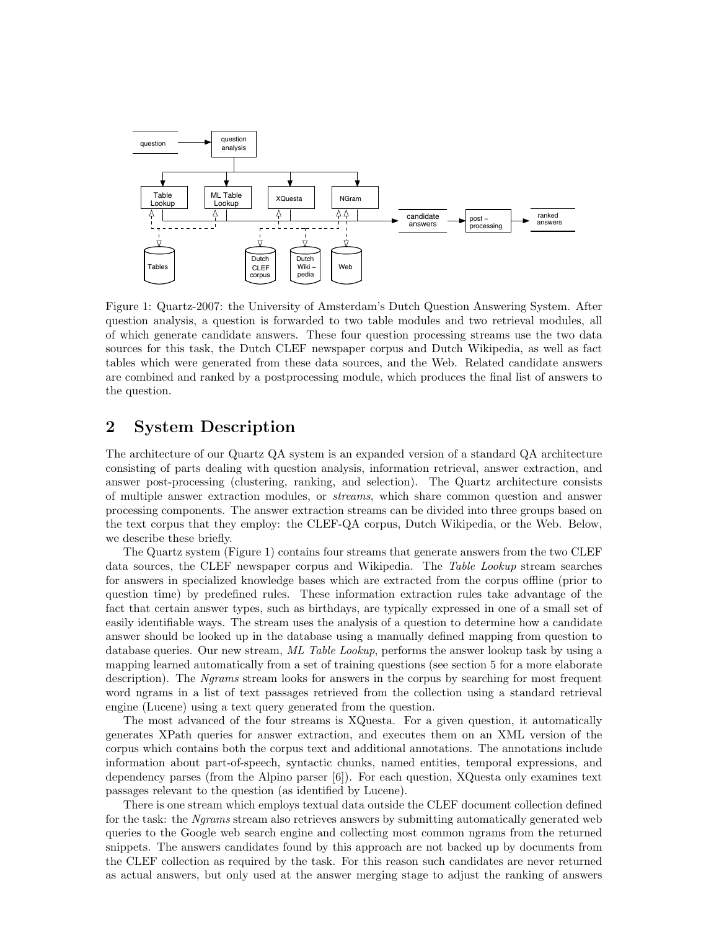

Figure 1: Quartz-2007: the University of Amsterdam's Dutch Question Answering System. After question analysis, a question is forwarded to two table modules and two retrieval modules, all of which generate candidate answers. These four question processing streams use the two data sources for this task, the Dutch CLEF newspaper corpus and Dutch Wikipedia, as well as fact tables which were generated from these data sources, and the Web. Related candidate answers are combined and ranked by a postprocessing module, which produces the final list of answers to the question.

### 2 System Description

The architecture of our Quartz QA system is an expanded version of a standard QA architecture consisting of parts dealing with question analysis, information retrieval, answer extraction, and answer post-processing (clustering, ranking, and selection). The Quartz architecture consists of multiple answer extraction modules, or streams, which share common question and answer processing components. The answer extraction streams can be divided into three groups based on the text corpus that they employ: the CLEF-QA corpus, Dutch Wikipedia, or the Web. Below, we describe these briefly.

The Quartz system (Figure 1) contains four streams that generate answers from the two CLEF data sources, the CLEF newspaper corpus and Wikipedia. The Table Lookup stream searches for answers in specialized knowledge bases which are extracted from the corpus offline (prior to question time) by predefined rules. These information extraction rules take advantage of the fact that certain answer types, such as birthdays, are typically expressed in one of a small set of easily identifiable ways. The stream uses the analysis of a question to determine how a candidate answer should be looked up in the database using a manually defined mapping from question to database queries. Our new stream, ML Table Lookup, performs the answer lookup task by using a mapping learned automatically from a set of training questions (see section 5 for a more elaborate description). The Ngrams stream looks for answers in the corpus by searching for most frequent word ngrams in a list of text passages retrieved from the collection using a standard retrieval engine (Lucene) using a text query generated from the question.

The most advanced of the four streams is XQuesta. For a given question, it automatically generates XPath queries for answer extraction, and executes them on an XML version of the corpus which contains both the corpus text and additional annotations. The annotations include information about part-of-speech, syntactic chunks, named entities, temporal expressions, and dependency parses (from the Alpino parser [6]). For each question, XQuesta only examines text passages relevant to the question (as identified by Lucene).

There is one stream which employs textual data outside the CLEF document collection defined for the task: the Ngrams stream also retrieves answers by submitting automatically generated web queries to the Google web search engine and collecting most common ngrams from the returned snippets. The answers candidates found by this approach are not backed up by documents from the CLEF collection as required by the task. For this reason such candidates are never returned as actual answers, but only used at the answer merging stage to adjust the ranking of answers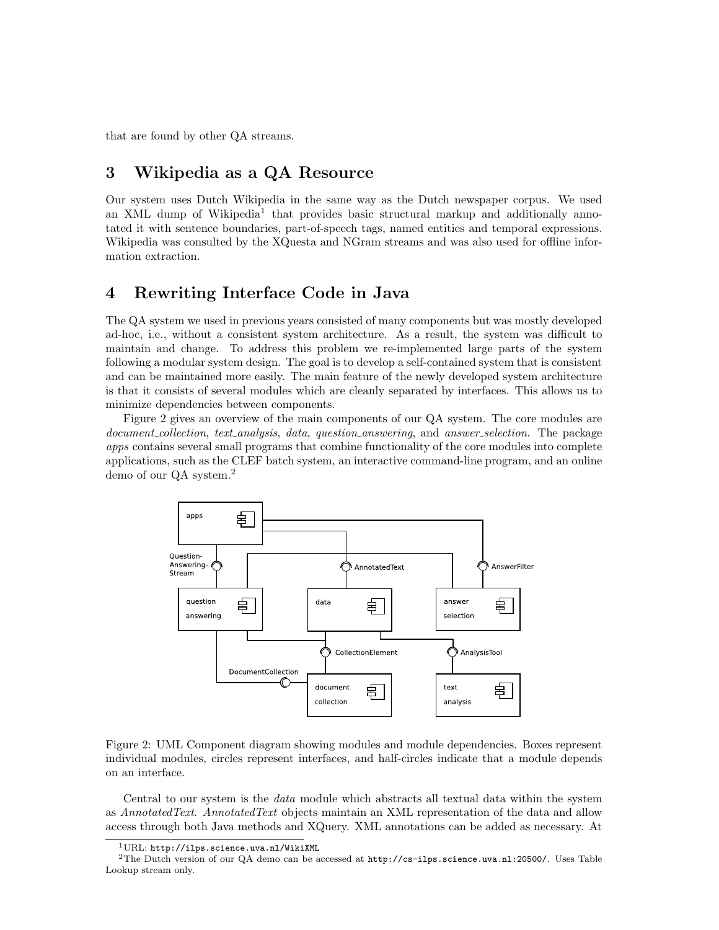that are found by other QA streams.

### 3 Wikipedia as a QA Resource

Our system uses Dutch Wikipedia in the same way as the Dutch newspaper corpus. We used an XML dump of Wikipedia<sup>1</sup> that provides basic structural markup and additionally annotated it with sentence boundaries, part-of-speech tags, named entities and temporal expressions. Wikipedia was consulted by the XQuesta and NGram streams and was also used for offline information extraction.

### 4 Rewriting Interface Code in Java

The QA system we used in previous years consisted of many components but was mostly developed ad-hoc, i.e., without a consistent system architecture. As a result, the system was difficult to maintain and change. To address this problem we re-implemented large parts of the system following a modular system design. The goal is to develop a self-contained system that is consistent and can be maintained more easily. The main feature of the newly developed system architecture is that it consists of several modules which are cleanly separated by interfaces. This allows us to minimize dependencies between components.

Figure 2 gives an overview of the main components of our QA system. The core modules are document collection, text analysis, data, question answering, and answer selection. The package apps contains several small programs that combine functionality of the core modules into complete applications, such as the CLEF batch system, an interactive command-line program, and an online demo of our QA system.<sup>2</sup>



Figure 2: UML Component diagram showing modules and module dependencies. Boxes represent individual modules, circles represent interfaces, and half-circles indicate that a module depends on an interface.

Central to our system is the data module which abstracts all textual data within the system as AnnotatedText. AnnotatedText objects maintain an XML representation of the data and allow access through both Java methods and XQuery. XML annotations can be added as necessary. At

<sup>1</sup>URL: http://ilps.science.uva.nl/WikiXML

<sup>2</sup>The Dutch version of our QA demo can be accessed at http://cs-ilps.science.uva.nl:20500/. Uses Table Lookup stream only.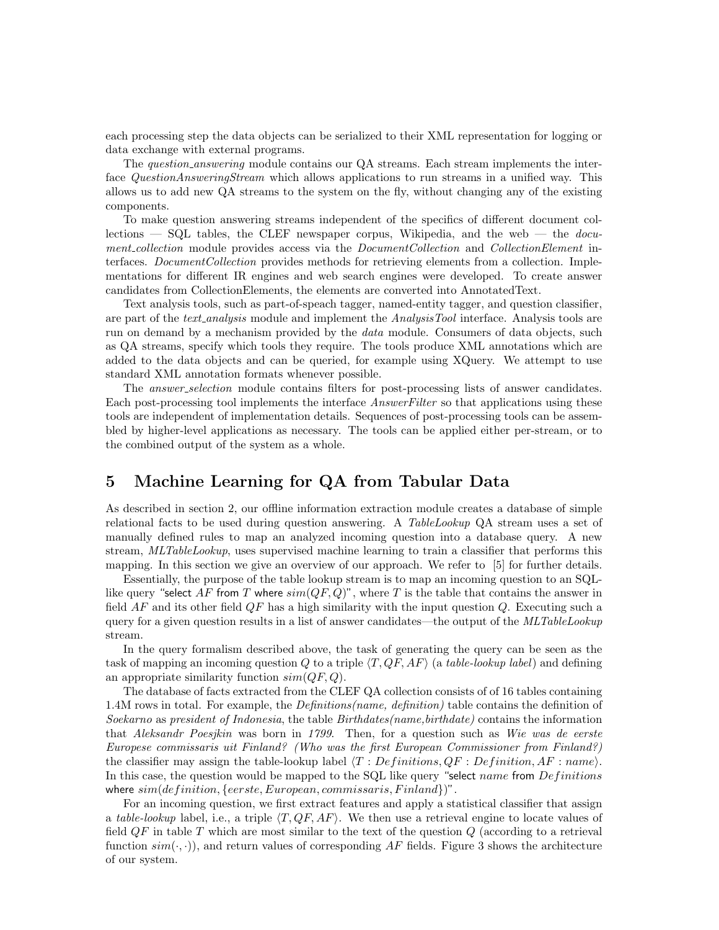each processing step the data objects can be serialized to their XML representation for logging or data exchange with external programs.

The *question\_answering* module contains our QA streams. Each stream implements the interface *QuestionAnsweringStream* which allows applications to run streams in a unified way. This allows us to add new QA streams to the system on the fly, without changing any of the existing components.

To make question answering streams independent of the specifics of different document collections — SQL tables, the CLEF newspaper corpus, Wikipedia, and the web — the *docu*ment collection module provides access via the *DocumentCollection* and *CollectionElement* interfaces. DocumentCollection provides methods for retrieving elements from a collection. Implementations for different IR engines and web search engines were developed. To create answer candidates from CollectionElements, the elements are converted into AnnotatedText.

Text analysis tools, such as part-of-speach tagger, named-entity tagger, and question classifier, are part of the *text\_analysis* module and implement the *AnalysisTool* interface. Analysis tools are run on demand by a mechanism provided by the *data* module. Consumers of data objects, such as QA streams, specify which tools they require. The tools produce XML annotations which are added to the data objects and can be queried, for example using XQuery. We attempt to use standard XML annotation formats whenever possible.

The answer selection module contains filters for post-processing lists of answer candidates. Each post-processing tool implements the interface *AnswerFilter* so that applications using these tools are independent of implementation details. Sequences of post-processing tools can be assembled by higher-level applications as necessary. The tools can be applied either per-stream, or to the combined output of the system as a whole.

### 5 Machine Learning for QA from Tabular Data

As described in section 2, our offline information extraction module creates a database of simple relational facts to be used during question answering. A TableLookup QA stream uses a set of manually defined rules to map an analyzed incoming question into a database query. A new stream, *MLTableLookup*, uses supervised machine learning to train a classifier that performs this mapping. In this section we give an overview of our approach. We refer to [5] for further details.

Essentially, the purpose of the table lookup stream is to map an incoming question to an SQLlike query "select AF from T where  $sim(QF, Q)$ ", where T is the table that contains the answer in field  $AF$  and its other field  $QF$  has a high similarity with the input question  $Q$ . Executing such a query for a given question results in a list of answer candidates—the output of the MLTableLookup stream.

In the query formalism described above, the task of generating the query can be seen as the task of mapping an incoming question Q to a triple  $\langle T, QF, AF \rangle$  (a table-lookup label) and defining an appropriate similarity function  $sim(QF, Q)$ .

The database of facts extracted from the CLEF QA collection consists of of 16 tables containing 1.4M rows in total. For example, the *Definitions (name, definition)* table contains the definition of Soekarno as president of Indonesia, the table  $Birth dates(name, birthdate)$  contains the information that Aleksandr Poesjkin was born in 1799. Then, for a question such as Wie was de eerste Europese commissaris uit Finland? (Who was the first European Commissioner from Finland?) the classifier may assign the table-lookup label  $\langle T : DefinitionS, QF : Definition, AF : name \rangle$ . In this case, the question would be mapped to the SQL like query "select *name* from  $Definitions$ where  $\textit{sim}(definition, \{eerste, European, commissaris, Finland\})$ ".

For an incoming question, we first extract features and apply a statistical classifier that assign a table-lookup label, i.e., a triple  $\langle T, QF, AF \rangle$ . We then use a retrieval engine to locate values of field  $QF$  in table T which are most similar to the text of the question  $Q$  (according to a retrieval function  $sim(\cdot, \cdot)$ , and return values of corresponding AF fields. Figure 3 shows the architecture of our system.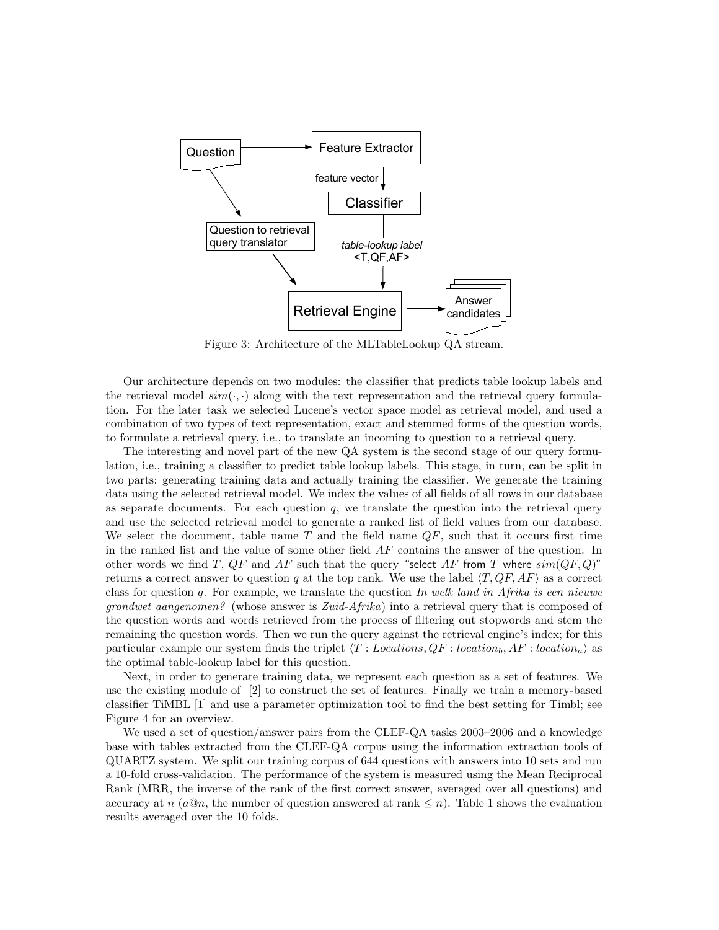

Figure 3: Architecture of the MLTableLookup QA stream.

Our architecture depends on two modules: the classifier that predicts table lookup labels and the retrieval model  $sim(\cdot, \cdot)$  along with the text representation and the retrieval query formulation. For the later task we selected Lucene's vector space model as retrieval model, and used a combination of two types of text representation, exact and stemmed forms of the question words, to formulate a retrieval query, i.e., to translate an incoming to question to a retrieval query.

The interesting and novel part of the new QA system is the second stage of our query formulation, i.e., training a classifier to predict table lookup labels. This stage, in turn, can be split in two parts: generating training data and actually training the classifier. We generate the training data using the selected retrieval model. We index the values of all fields of all rows in our database as separate documents. For each question  $q$ , we translate the question into the retrieval query and use the selected retrieval model to generate a ranked list of field values from our database. We select the document, table name  $T$  and the field name  $QF$ , such that it occurs first time in the ranked list and the value of some other field  $AF$  contains the answer of the question. In other words we find T,  $QF$  and  $AF$  such that the query "select AF from T where  $sim(QF, Q)$ " returns a correct answer to question q at the top rank. We use the label  $\langle T, QF, AF \rangle$  as a correct class for question  $q$ . For example, we translate the question In welk land in Afrika is een nieuwe grondwet aangenomen? (whose answer is Zuid-Afrika) into a retrieval query that is composed of the question words and words retrieved from the process of filtering out stopwords and stem the remaining the question words. Then we run the query against the retrieval engine's index; for this particular example our system finds the triplet  $\langle T : Locations, QF : location<sub>b</sub>, AF : location<sub>a</sub> \rangle$  as the optimal table-lookup label for this question.

Next, in order to generate training data, we represent each question as a set of features. We use the existing module of [2] to construct the set of features. Finally we train a memory-based classifier TiMBL [1] and use a parameter optimization tool to find the best setting for Timbl; see Figure 4 for an overview.

We used a set of question/answer pairs from the CLEF-QA tasks 2003–2006 and a knowledge base with tables extracted from the CLEF-QA corpus using the information extraction tools of QUARTZ system. We split our training corpus of 644 questions with answers into 10 sets and run a 10-fold cross-validation. The performance of the system is measured using the Mean Reciprocal Rank (MRR, the inverse of the rank of the first correct answer, averaged over all questions) and accuracy at n ( $a@n$ , the number of question answered at rank  $\leq n$ ). Table 1 shows the evaluation results averaged over the 10 folds.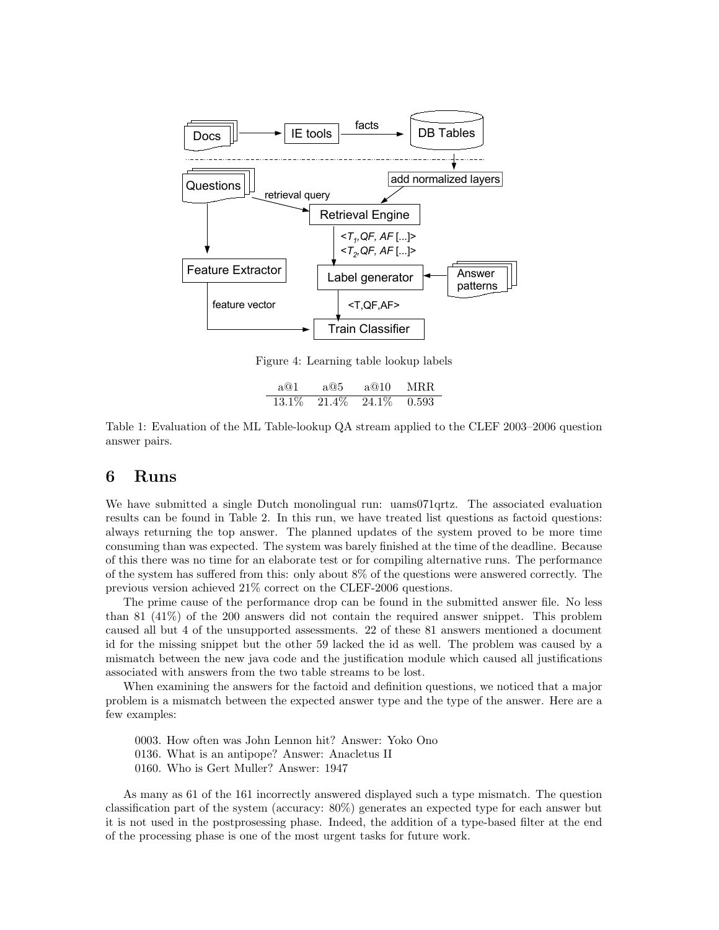

Figure 4: Learning table lookup labels

| a@1    | a@5    | a@10   | MRR.  |
|--------|--------|--------|-------|
| 13.1\% | 21.4\% | 24.1\% | 0.593 |



### 6 Runs

We have submitted a single Dutch monolingual run: uams071qrtz. The associated evaluation results can be found in Table 2. In this run, we have treated list questions as factoid questions: always returning the top answer. The planned updates of the system proved to be more time consuming than was expected. The system was barely finished at the time of the deadline. Because of this there was no time for an elaborate test or for compiling alternative runs. The performance of the system has suffered from this: only about 8% of the questions were answered correctly. The previous version achieved 21% correct on the CLEF-2006 questions.

The prime cause of the performance drop can be found in the submitted answer file. No less than 81 (41%) of the 200 answers did not contain the required answer snippet. This problem caused all but 4 of the unsupported assessments. 22 of these 81 answers mentioned a document id for the missing snippet but the other 59 lacked the id as well. The problem was caused by a mismatch between the new java code and the justification module which caused all justifications associated with answers from the two table streams to be lost.

When examining the answers for the factoid and definition questions, we noticed that a major problem is a mismatch between the expected answer type and the type of the answer. Here are a few examples:

- 0003. How often was John Lennon hit? Answer: Yoko Ono
- 0136. What is an antipope? Answer: Anacletus II
- 0160. Who is Gert Muller? Answer: 1947

As many as 61 of the 161 incorrectly answered displayed such a type mismatch. The question classification part of the system (accuracy: 80%) generates an expected type for each answer but it is not used in the postprosessing phase. Indeed, the addition of a type-based filter at the end of the processing phase is one of the most urgent tasks for future work.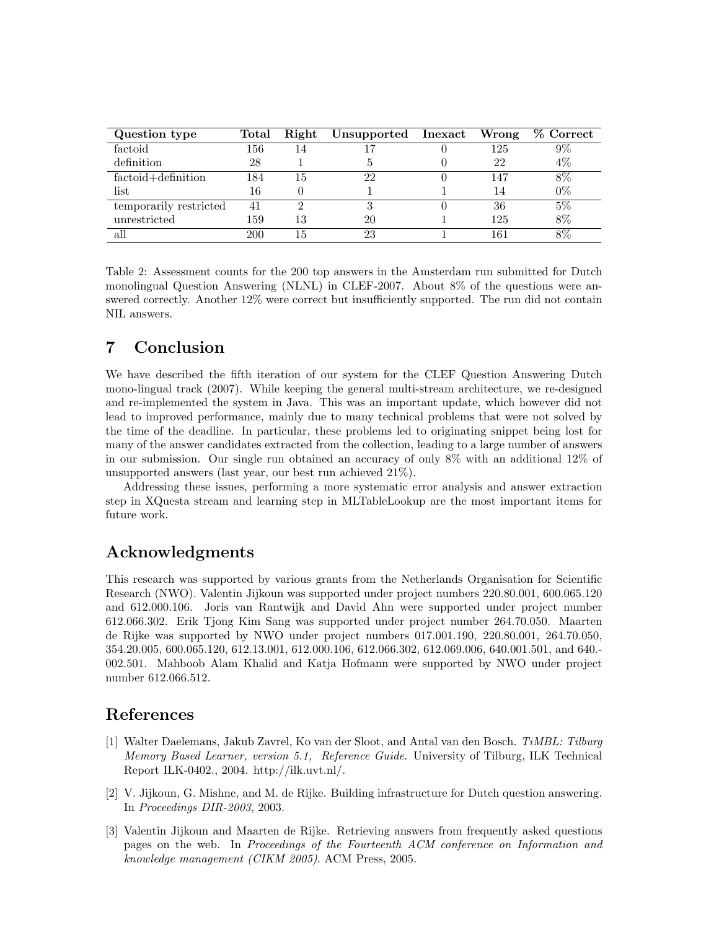| Question type          | <b>Total</b> | Right | Unsupported Inexact | Wrong | % Correct |
|------------------------|--------------|-------|---------------------|-------|-----------|
| factoid                | 156          | 14    |                     | 125   | $9\%$     |
| definition             | 28           |       |                     | 22    | $4\%$     |
| factoid+definition     | 184          | 15    | 22                  | 147   | 8%        |
| list                   | 16           |       |                     | 14    | $0\%$     |
| temporarily restricted | 41           |       | 3                   | 36    | $5\%$     |
| unrestricted           | 159          | 13    | 20                  | 125   | 8%        |
| all                    | <b>200</b>   | 15    | 23                  | 61    | 8%        |

Table 2: Assessment counts for the 200 top answers in the Amsterdam run submitted for Dutch monolingual Question Answering (NLNL) in CLEF-2007. About 8% of the questions were answered correctly. Another 12% were correct but insufficiently supported. The run did not contain NIL answers.

## 7 Conclusion

We have described the fifth iteration of our system for the CLEF Question Answering Dutch mono-lingual track (2007). While keeping the general multi-stream architecture, we re-designed and re-implemented the system in Java. This was an important update, which however did not lead to improved performance, mainly due to many technical problems that were not solved by the time of the deadline. In particular, these problems led to originating snippet being lost for many of the answer candidates extracted from the collection, leading to a large number of answers in our submission. Our single run obtained an accuracy of only 8% with an additional 12% of unsupported answers (last year, our best run achieved 21%).

Addressing these issues, performing a more systematic error analysis and answer extraction step in XQuesta stream and learning step in MLTableLookup are the most important items for future work.

## Acknowledgments

This research was supported by various grants from the Netherlands Organisation for Scientific Research (NWO). Valentin Jijkoun was supported under project numbers 220.80.001, 600.065.120 and 612.000.106. Joris van Rantwijk and David Ahn were supported under project number 612.066.302. Erik Tjong Kim Sang was supported under project number 264.70.050. Maarten de Rijke was supported by NWO under project numbers 017.001.190, 220.80.001, 264.70.050, 354.20.005, 600.065.120, 612.13.001, 612.000.106, 612.066.302, 612.069.006, 640.001.501, and 640.- 002.501. Mahboob Alam Khalid and Katja Hofmann were supported by NWO under project number 612.066.512.

## References

- [1] Walter Daelemans, Jakub Zavrel, Ko van der Sloot, and Antal van den Bosch. TiMBL: Tilburg Memory Based Learner, version 5.1, Reference Guide. University of Tilburg, ILK Technical Report ILK-0402., 2004. http://ilk.uvt.nl/.
- [2] V. Jijkoun, G. Mishne, and M. de Rijke. Building infrastructure for Dutch question answering. In Proceedings DIR-2003, 2003.
- [3] Valentin Jijkoun and Maarten de Rijke. Retrieving answers from frequently asked questions pages on the web. In Proceedings of the Fourteenth ACM conference on Information and knowledge management (CIKM 2005). ACM Press, 2005.